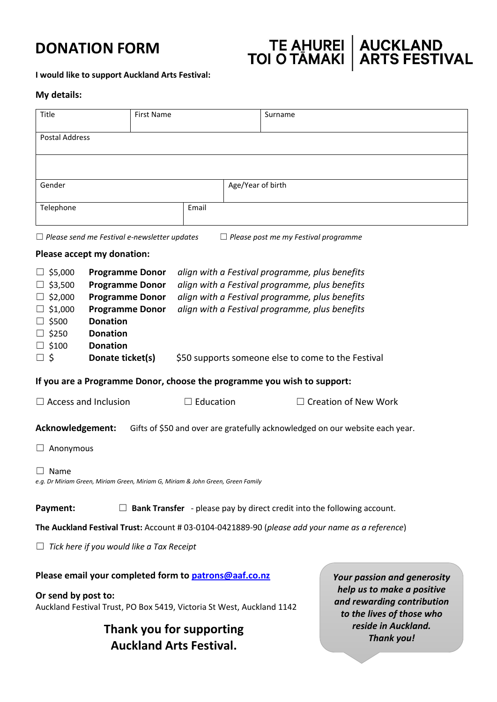# **DONATION FORM**

# TE AHUREI | AUCKLAND<br>TOI O TAMAKI | ARTS FESTIVAL

**I would like to support Auckland Arts Festival:**

#### **My details:**

| Title<br><b>First Name</b>                                                                                                                                                                                                                                                      |  |  |                                                                                                                                                                                                                                                            |                   | Surname                     |  |
|---------------------------------------------------------------------------------------------------------------------------------------------------------------------------------------------------------------------------------------------------------------------------------|--|--|------------------------------------------------------------------------------------------------------------------------------------------------------------------------------------------------------------------------------------------------------------|-------------------|-----------------------------|--|
| <b>Postal Address</b>                                                                                                                                                                                                                                                           |  |  |                                                                                                                                                                                                                                                            |                   |                             |  |
|                                                                                                                                                                                                                                                                                 |  |  |                                                                                                                                                                                                                                                            |                   |                             |  |
| Gender                                                                                                                                                                                                                                                                          |  |  |                                                                                                                                                                                                                                                            | Age/Year of birth |                             |  |
| Telephone                                                                                                                                                                                                                                                                       |  |  | Email                                                                                                                                                                                                                                                      |                   |                             |  |
|                                                                                                                                                                                                                                                                                 |  |  |                                                                                                                                                                                                                                                            |                   |                             |  |
| $\Box$ Please send me Festival e-newsletter updates<br>$\Box$ Please post me my Festival programme<br>Please accept my donation:                                                                                                                                                |  |  |                                                                                                                                                                                                                                                            |                   |                             |  |
| \$5,000<br><b>Programme Donor</b><br>\$3,500<br><b>Programme Donor</b><br><b>Programme Donor</b><br>\$2,000<br>$\Box$ \$1,000<br><b>Programme Donor</b><br><b>Donation</b><br>\$500<br>\$250<br><b>Donation</b><br><b>Donation</b><br>\$100<br>$\square$ \$<br>Donate ticket(s) |  |  | align with a Festival programme, plus benefits<br>align with a Festival programme, plus benefits<br>align with a Festival programme, plus benefits<br>align with a Festival programme, plus benefits<br>\$50 supports someone else to come to the Festival |                   |                             |  |
| If you are a Programme Donor, choose the programme you wish to support:                                                                                                                                                                                                         |  |  |                                                                                                                                                                                                                                                            |                   |                             |  |
| $\Box$ Access and Inclusion                                                                                                                                                                                                                                                     |  |  | $\Box$ Education                                                                                                                                                                                                                                           |                   | $\Box$ Creation of New Work |  |
| Acknowledgement:<br>Gifts of \$50 and over are gratefully acknowledged on our website each year.                                                                                                                                                                                |  |  |                                                                                                                                                                                                                                                            |                   |                             |  |
| Anonymous                                                                                                                                                                                                                                                                       |  |  |                                                                                                                                                                                                                                                            |                   |                             |  |
| Name<br>e.g. Dr Miriam Green, Miriam Green, Miriam G, Miriam & John Green, Green Family                                                                                                                                                                                         |  |  |                                                                                                                                                                                                                                                            |                   |                             |  |
| Payment:<br><b>Bank Transfer</b> - please pay by direct credit into the following account.                                                                                                                                                                                      |  |  |                                                                                                                                                                                                                                                            |                   |                             |  |
| The Auckland Festival Trust: Account # 03-0104-0421889-90 (please add your name as a reference)                                                                                                                                                                                 |  |  |                                                                                                                                                                                                                                                            |                   |                             |  |
| Tick here if you would like a Tax Receipt                                                                                                                                                                                                                                       |  |  |                                                                                                                                                                                                                                                            |                   |                             |  |
| Please email your completed form to patrons@aaf.co.nz<br>Your passion and generosity<br>help us to make a positive<br>Or send by post to:<br>and rewarding contribution<br>Auckland Festival Trust, PO Box 5419, Victoria St West, Auckland 1142<br>to the lives of those who   |  |  |                                                                                                                                                                                                                                                            |                   |                             |  |
| reside in Auckland.<br>Thank you for supporting<br><b>Thank you!</b><br><b>Auckland Arts Festival.</b>                                                                                                                                                                          |  |  |                                                                                                                                                                                                                                                            |                   |                             |  |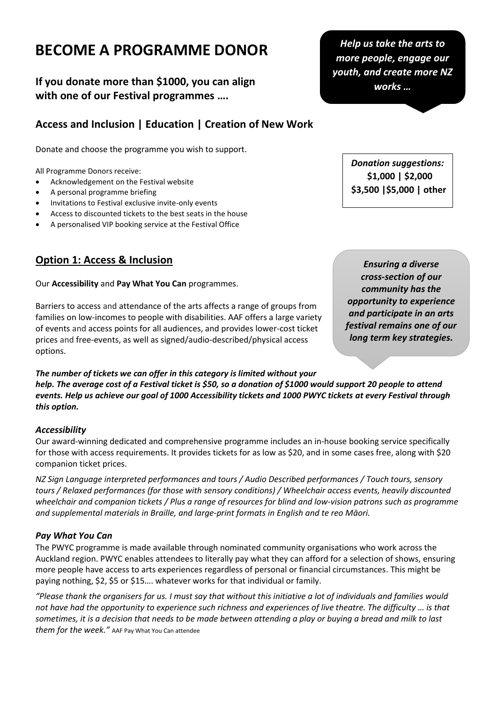# **BECOME A PROGRAMME DONOR**

**If you donate more than \$1000, you can align with one of our Festival programmes ….**

# **Access and Inclusion | Education | Creation of New Work**

Donate and choose the programme you wish to support.

All Programme Donors receive:

- Acknowledgement on the Festival website
- A personal programme briefing
- Invitations to Festival exclusive invite-only events
- Access to discounted tickets to the best seats in the house
- A personalised VIP booking service at the Festival Office

## **Option 1: Access & Inclusion**

#### Our **Accessibility** and **Pay What You Can** programmes.

Barriers to access and attendance of the arts affects a range of groups from families on low-incomes to people with disabilities. AAF offers a large variety of events and access points for all audiences, and provides lower-cost ticket prices and free-events, as well as signed/audio-described/physical access options.

*The number of tickets we can offer in this category is limited without your help. The average cost of a Festival ticket is \$50, so a donation of \$1000 would support 20 people to attend events. Help us achieve our goal of 1000 Accessibility tickets and 1000 PWYC tickets at every Festival through this option.*

#### *Accessibility*

Our award-winning dedicated and comprehensive programme includes an in-house booking service specifically for those with access requirements. It provides tickets for as low as \$20, and in some cases free, along with \$20 companion ticket prices.

*NZ Sign Language interpreted performances and tours / Audio Described performances / Touch tours, sensory tours / Relaxed performances (for those with sensory conditions) / Wheelchair access events, heavily discounted wheelchair and companion tickets / Plus a range of resources for blind and low-vision patrons such as programme and supplemental materials in Braille, and large-print formats in English and te reo Māori.*

#### *Pay What You Can*

The PWYC programme is made available through nominated community organisations who work across the Auckland region. PWYC enables attendees to literally pay what they can afford for a selection of shows, ensuring more people have access to arts experiences regardless of personal or financial circumstances. This might be paying nothing, \$2, \$5 or \$15…. whatever works for that individual or family.

*"Please thank the organisers for us. I must say that without this initiative a lot of individuals and families would not have had the opportunity to experience such richness and experiences of live theatre. The difficulty … is that sometimes, it is a decision that needs to be made between attending a play or buying a bread and milk to last them for the week."* AAF Pay What You Can attendee

*Help us take the arts to more people, engage our youth, and create more NZ works …*

> *Donation suggestions:*  **\$1,000 | \$2,000 \$3,500 |\$5,000 | other**

*Ensuring a diverse cross-section of our community has the opportunity to experience and participate in an arts festival remains one of our long term key strategies.*